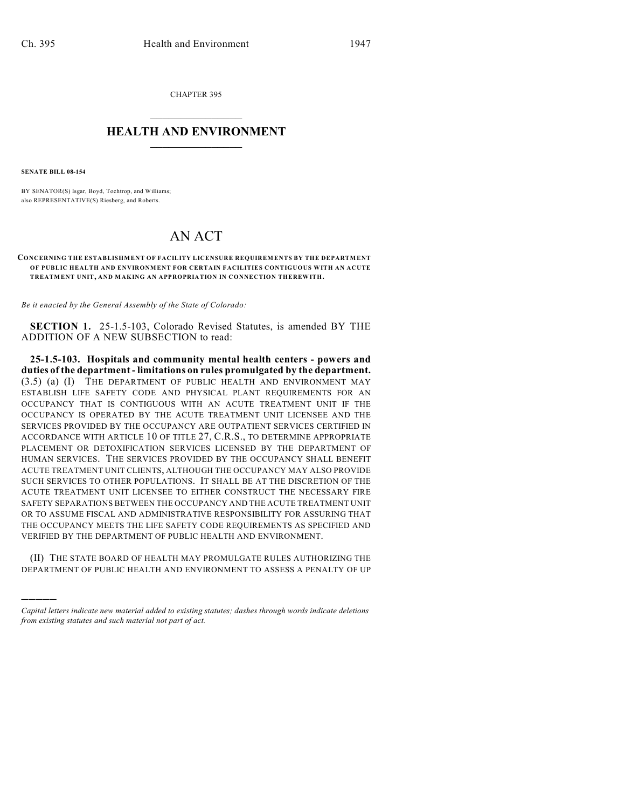CHAPTER 395  $\mathcal{L}_\text{max}$  . The set of the set of the set of the set of the set of the set of the set of the set of the set of the set of the set of the set of the set of the set of the set of the set of the set of the set of the set

## **HEALTH AND ENVIRONMENT**  $\_$

**SENATE BILL 08-154**

)))))

BY SENATOR(S) Isgar, Boyd, Tochtrop, and Williams; also REPRESENTATIVE(S) Riesberg, and Roberts.

## AN ACT

## **CONCERNING THE ESTABLISHMENT OF FACILITY LICENSURE REQUIREMENTS BY THE DEPARTMENT OF PUBLIC HEALTH AND ENVIRONMENT FOR CERTAIN FACILITIES CONTIGUOUS WITH AN ACUTE TREATMENT UNIT, AND MAKING AN APPROPRIATION IN CONNECTION THEREWITH.**

*Be it enacted by the General Assembly of the State of Colorado:*

**SECTION 1.** 25-1.5-103, Colorado Revised Statutes, is amended BY THE ADDITION OF A NEW SUBSECTION to read:

**25-1.5-103. Hospitals and community mental health centers - powers and duties of the department - limitations on rules promulgated by the department.** (3.5) (a) (I) THE DEPARTMENT OF PUBLIC HEALTH AND ENVIRONMENT MAY ESTABLISH LIFE SAFETY CODE AND PHYSICAL PLANT REQUIREMENTS FOR AN OCCUPANCY THAT IS CONTIGUOUS WITH AN ACUTE TREATMENT UNIT IF THE OCCUPANCY IS OPERATED BY THE ACUTE TREATMENT UNIT LICENSEE AND THE SERVICES PROVIDED BY THE OCCUPANCY ARE OUTPATIENT SERVICES CERTIFIED IN ACCORDANCE WITH ARTICLE 10 OF TITLE 27, C.R.S., TO DETERMINE APPROPRIATE PLACEMENT OR DETOXIFICATION SERVICES LICENSED BY THE DEPARTMENT OF HUMAN SERVICES. THE SERVICES PROVIDED BY THE OCCUPANCY SHALL BENEFIT ACUTE TREATMENT UNIT CLIENTS, ALTHOUGH THE OCCUPANCY MAY ALSO PROVIDE SUCH SERVICES TO OTHER POPULATIONS. IT SHALL BE AT THE DISCRETION OF THE ACUTE TREATMENT UNIT LICENSEE TO EITHER CONSTRUCT THE NECESSARY FIRE SAFETY SEPARATIONS BETWEEN THE OCCUPANCY AND THE ACUTE TREATMENT UNIT OR TO ASSUME FISCAL AND ADMINISTRATIVE RESPONSIBILITY FOR ASSURING THAT THE OCCUPANCY MEETS THE LIFE SAFETY CODE REQUIREMENTS AS SPECIFIED AND VERIFIED BY THE DEPARTMENT OF PUBLIC HEALTH AND ENVIRONMENT.

(II) THE STATE BOARD OF HEALTH MAY PROMULGATE RULES AUTHORIZING THE DEPARTMENT OF PUBLIC HEALTH AND ENVIRONMENT TO ASSESS A PENALTY OF UP

*Capital letters indicate new material added to existing statutes; dashes through words indicate deletions from existing statutes and such material not part of act.*